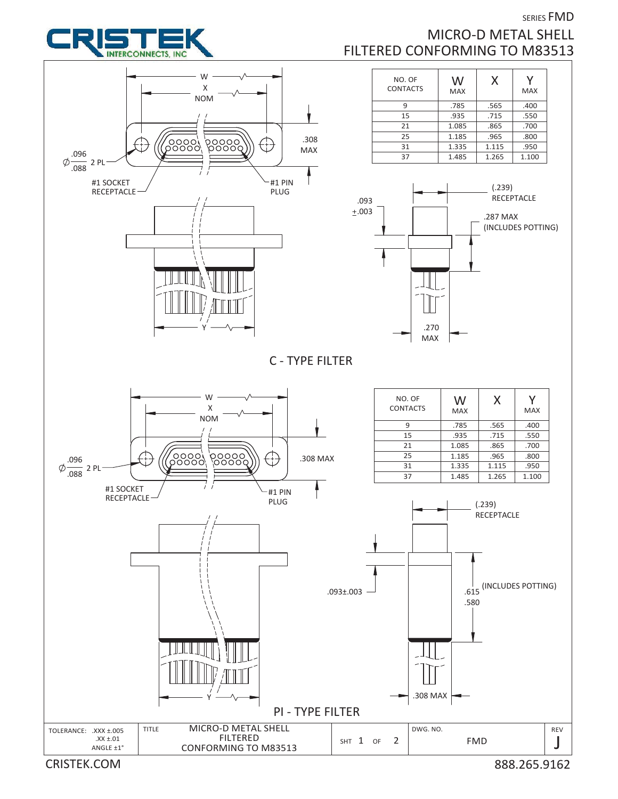

## SERIES FMD MICRO-D METAL SHELL FILTERED CONFORMING TO M83513